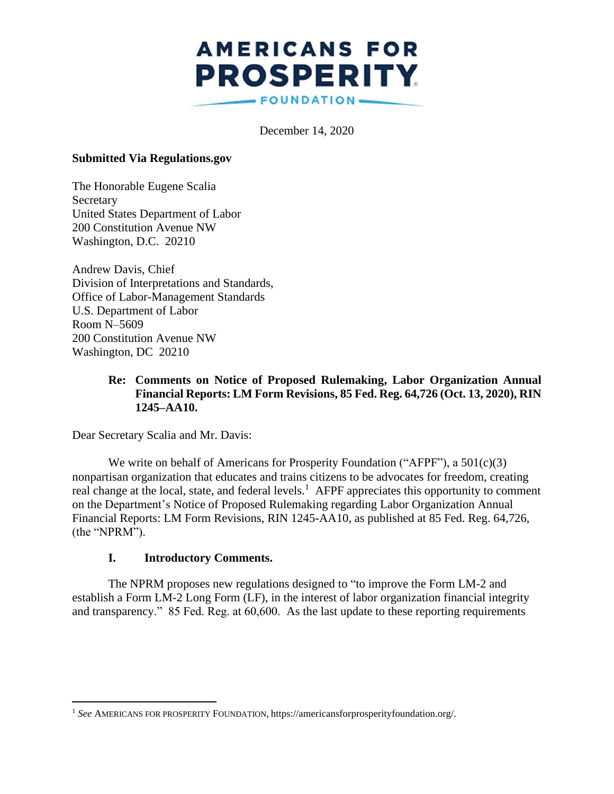# **AMERICANS FOR PROSPERITY** FOUNDATION-

December 14, 2020

#### **Submitted Via Regulations.gov**

The Honorable Eugene Scalia Secretary United States Department of Labor 200 Constitution Avenue NW Washington, D.C. 20210

Andrew Davis, Chief Division of Interpretations and Standards, Office of Labor-Management Standards U.S. Department of Labor Room N–5609 200 Constitution Avenue NW Washington, DC 20210

#### **Re: Comments on Notice of Proposed Rulemaking, Labor Organization Annual Financial Reports: LM Form Revisions, 85 Fed. Reg. 64,726 (Oct. 13, 2020), RIN 1245–AA10.**

Dear Secretary Scalia and Mr. Davis:

We write on behalf of Americans for Prosperity Foundation ("AFPF"), a 501(c)(3) nonpartisan organization that educates and trains citizens to be advocates for freedom, creating real change at the local, state, and federal levels.<sup>1</sup> AFPF appreciates this opportunity to comment on the Department's Notice of Proposed Rulemaking regarding Labor Organization Annual Financial Reports: LM Form Revisions, RIN 1245-AA10, as published at 85 Fed. Reg. 64,726, (the "NPRM").

#### **I. Introductory Comments.**

The NPRM proposes new regulations designed to "to improve the Form LM-2 and establish a Form LM-2 Long Form (LF), in the interest of labor organization financial integrity and transparency." 85 Fed. Reg. at 60,600. As the last update to these reporting requirements

<sup>1</sup> *See* AMERICANS FOR PROSPERITY FOUNDATION, https://americansforprosperityfoundation.org/.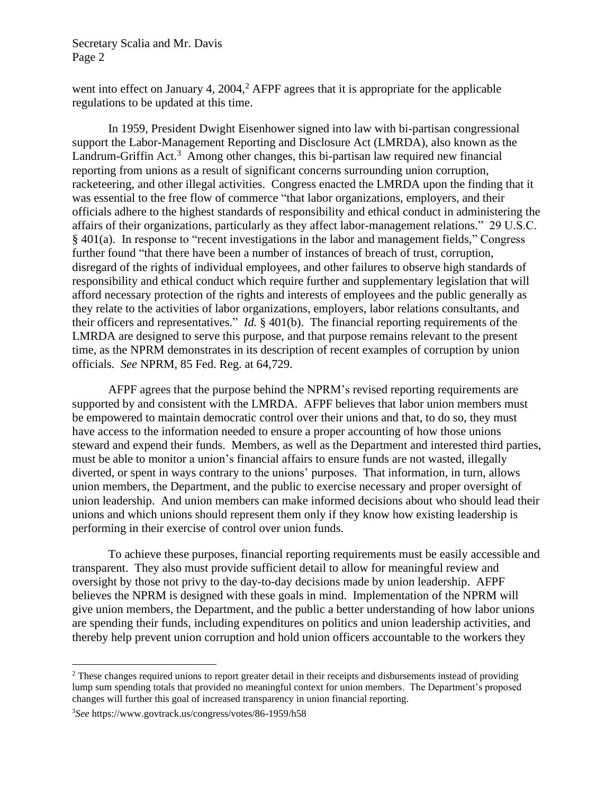went into effect on January 4,  $2004<sup>2</sup>$ . AFPF agrees that it is appropriate for the applicable regulations to be updated at this time.

In 1959, President Dwight Eisenhower signed into law with bi-partisan congressional support the Labor-Management Reporting and Disclosure Act (LMRDA), also known as the Landrum-Griffin Act.<sup>3</sup> Among other changes, this bi-partisan law required new financial reporting from unions as a result of significant concerns surrounding union corruption, racketeering, and other illegal activities. Congress enacted the LMRDA upon the finding that it was essential to the free flow of commerce "that labor organizations, employers, and their officials adhere to the highest standards of responsibility and ethical conduct in administering the affairs of their organizations, particularly as they affect labor-management relations." 29 U.S.C. § 401(a). In response to "recent investigations in the labor and management fields," Congress further found "that there have been a number of instances of breach of trust, corruption, disregard of the rights of individual employees, and other failures to observe high standards of responsibility and ethical conduct which require further and supplementary legislation that will afford necessary protection of the rights and interests of employees and the public generally as they relate to the activities of labor organizations, employers, labor relations consultants, and their officers and representatives." *Id.* § 401(b). The financial reporting requirements of the LMRDA are designed to serve this purpose, and that purpose remains relevant to the present time, as the NPRM demonstrates in its description of recent examples of corruption by union officials. *See* NPRM, 85 Fed. Reg. at 64,729.

AFPF agrees that the purpose behind the NPRM's revised reporting requirements are supported by and consistent with the LMRDA. AFPF believes that labor union members must be empowered to maintain democratic control over their unions and that, to do so, they must have access to the information needed to ensure a proper accounting of how those unions steward and expend their funds. Members, as well as the Department and interested third parties, must be able to monitor a union's financial affairs to ensure funds are not wasted, illegally diverted, or spent in ways contrary to the unions' purposes. That information, in turn, allows union members, the Department, and the public to exercise necessary and proper oversight of union leadership. And union members can make informed decisions about who should lead their unions and which unions should represent them only if they know how existing leadership is performing in their exercise of control over union funds.

To achieve these purposes, financial reporting requirements must be easily accessible and transparent. They also must provide sufficient detail to allow for meaningful review and oversight by those not privy to the day-to-day decisions made by union leadership. AFPF believes the NPRM is designed with these goals in mind. Implementation of the NPRM will give union members, the Department, and the public a better understanding of how labor unions are spending their funds, including expenditures on politics and union leadership activities, and thereby help prevent union corruption and hold union officers accountable to the workers they

<sup>&</sup>lt;sup>2</sup> These changes required unions to report greater detail in their receipts and disbursements instead of providing lump sum spending totals that provided no meaningful context for union members. The Department's proposed changes will further this goal of increased transparency in union financial reporting.

<sup>3</sup>*See* https://www.govtrack.us/congress/votes/86-1959/h58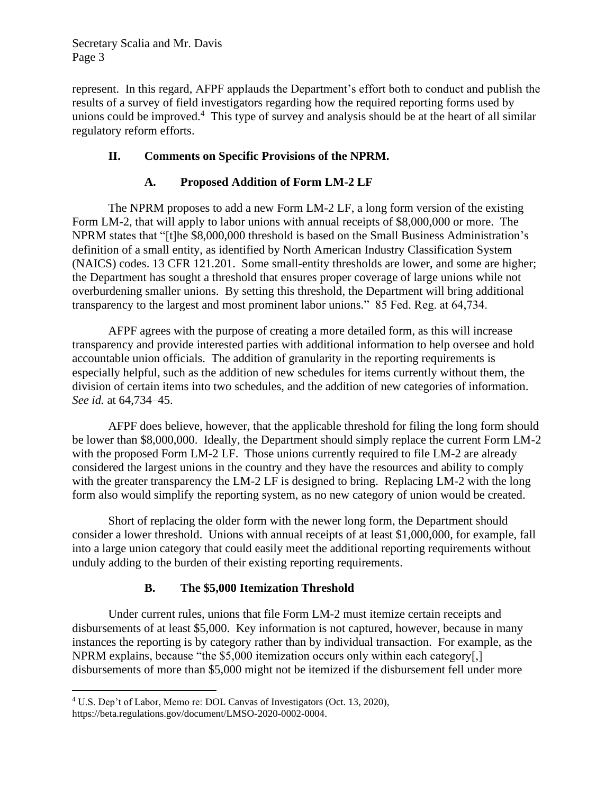represent. In this regard, AFPF applauds the Department's effort both to conduct and publish the results of a survey of field investigators regarding how the required reporting forms used by unions could be improved.<sup>4</sup> This type of survey and analysis should be at the heart of all similar regulatory reform efforts.

## **II. Comments on Specific Provisions of the NPRM.**

## **A. Proposed Addition of Form LM-2 LF**

The NPRM proposes to add a new Form LM-2 LF, a long form version of the existing Form LM-2, that will apply to labor unions with annual receipts of \$8,000,000 or more. The NPRM states that "[t]he \$8,000,000 threshold is based on the Small Business Administration's definition of a small entity, as identified by North American Industry Classification System (NAICS) codes. 13 CFR 121.201. Some small-entity thresholds are lower, and some are higher; the Department has sought a threshold that ensures proper coverage of large unions while not overburdening smaller unions. By setting this threshold, the Department will bring additional transparency to the largest and most prominent labor unions." 85 Fed. Reg. at 64,734.

AFPF agrees with the purpose of creating a more detailed form, as this will increase transparency and provide interested parties with additional information to help oversee and hold accountable union officials. The addition of granularity in the reporting requirements is especially helpful, such as the addition of new schedules for items currently without them, the division of certain items into two schedules, and the addition of new categories of information. *See id.* at 64,734–45.

AFPF does believe, however, that the applicable threshold for filing the long form should be lower than \$8,000,000. Ideally, the Department should simply replace the current Form LM-2 with the proposed Form LM-2 LF. Those unions currently required to file LM-2 are already considered the largest unions in the country and they have the resources and ability to comply with the greater transparency the LM-2 LF is designed to bring. Replacing LM-2 with the long form also would simplify the reporting system, as no new category of union would be created.

Short of replacing the older form with the newer long form, the Department should consider a lower threshold. Unions with annual receipts of at least \$1,000,000, for example, fall into a large union category that could easily meet the additional reporting requirements without unduly adding to the burden of their existing reporting requirements.

## **B. The \$5,000 Itemization Threshold**

Under current rules, unions that file Form LM-2 must itemize certain receipts and disbursements of at least \$5,000. Key information is not captured, however, because in many instances the reporting is by category rather than by individual transaction. For example, as the NPRM explains, because "the \$5,000 itemization occurs only within each category[,] disbursements of more than \$5,000 might not be itemized if the disbursement fell under more

<sup>4</sup> U.S. Dep't of Labor, Memo re: DOL Canvas of Investigators (Oct. 13, 2020),

https://beta.regulations.gov/document/LMSO-2020-0002-0004.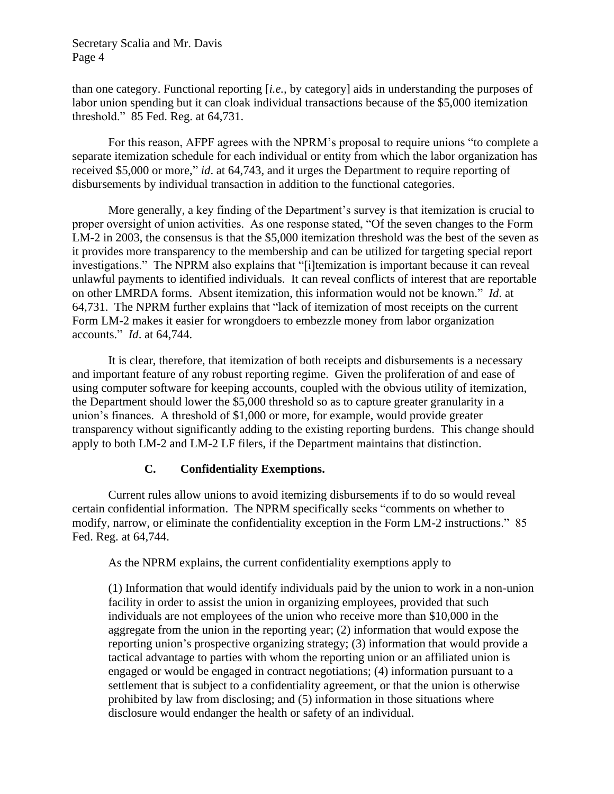than one category. Functional reporting [*i.e.,* by category] aids in understanding the purposes of labor union spending but it can cloak individual transactions because of the \$5,000 itemization threshold." 85 Fed. Reg. at 64,731.

For this reason, AFPF agrees with the NPRM's proposal to require unions "to complete a separate itemization schedule for each individual or entity from which the labor organization has received \$5,000 or more," *id*. at 64,743, and it urges the Department to require reporting of disbursements by individual transaction in addition to the functional categories.

More generally, a key finding of the Department's survey is that itemization is crucial to proper oversight of union activities. As one response stated, "Of the seven changes to the Form LM-2 in 2003, the consensus is that the \$5,000 itemization threshold was the best of the seven as it provides more transparency to the membership and can be utilized for targeting special report investigations." The NPRM also explains that "[i]temization is important because it can reveal unlawful payments to identified individuals. It can reveal conflicts of interest that are reportable on other LMRDA forms. Absent itemization, this information would not be known." *Id*. at 64,731. The NPRM further explains that "lack of itemization of most receipts on the current Form LM-2 makes it easier for wrongdoers to embezzle money from labor organization accounts." *Id*. at 64,744.

It is clear, therefore, that itemization of both receipts and disbursements is a necessary and important feature of any robust reporting regime. Given the proliferation of and ease of using computer software for keeping accounts, coupled with the obvious utility of itemization, the Department should lower the \$5,000 threshold so as to capture greater granularity in a union's finances. A threshold of \$1,000 or more, for example, would provide greater transparency without significantly adding to the existing reporting burdens. This change should apply to both LM-2 and LM-2 LF filers, if the Department maintains that distinction.

#### **C. Confidentiality Exemptions.**

Current rules allow unions to avoid itemizing disbursements if to do so would reveal certain confidential information. The NPRM specifically seeks "comments on whether to modify, narrow, or eliminate the confidentiality exception in the Form LM-2 instructions." 85 Fed. Reg. at 64,744.

As the NPRM explains, the current confidentiality exemptions apply to

(1) Information that would identify individuals paid by the union to work in a non-union facility in order to assist the union in organizing employees, provided that such individuals are not employees of the union who receive more than \$10,000 in the aggregate from the union in the reporting year; (2) information that would expose the reporting union's prospective organizing strategy; (3) information that would provide a tactical advantage to parties with whom the reporting union or an affiliated union is engaged or would be engaged in contract negotiations; (4) information pursuant to a settlement that is subject to a confidentiality agreement, or that the union is otherwise prohibited by law from disclosing; and (5) information in those situations where disclosure would endanger the health or safety of an individual.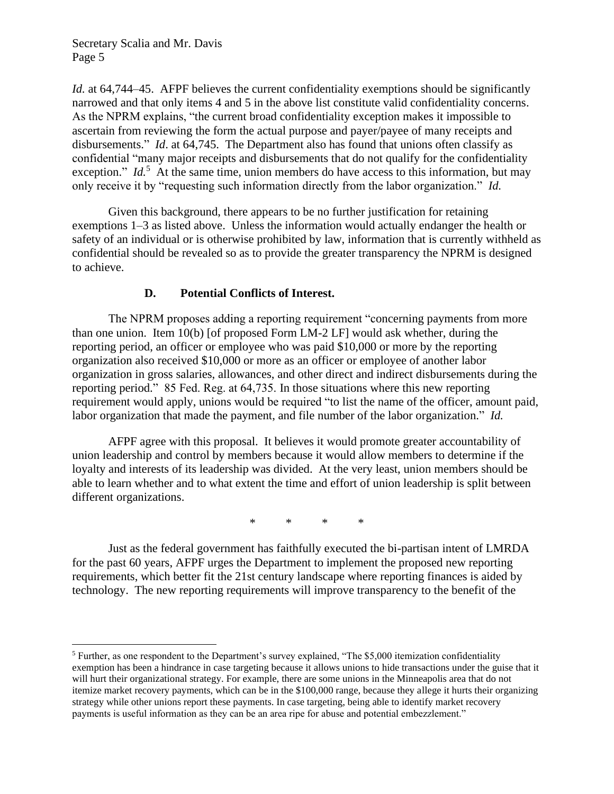*Id.* at 64,744–45. AFPF believes the current confidentiality exemptions should be significantly narrowed and that only items 4 and 5 in the above list constitute valid confidentiality concerns. As the NPRM explains, "the current broad confidentiality exception makes it impossible to ascertain from reviewing the form the actual purpose and payer/payee of many receipts and disbursements." *Id*. at 64,745. The Department also has found that unions often classify as confidential "many major receipts and disbursements that do not qualify for the confidentiality exception." *Id.*<sup>5</sup> At the same time, union members do have access to this information, but may only receive it by "requesting such information directly from the labor organization." *Id.* 

Given this background, there appears to be no further justification for retaining exemptions 1–3 as listed above. Unless the information would actually endanger the health or safety of an individual or is otherwise prohibited by law, information that is currently withheld as confidential should be revealed so as to provide the greater transparency the NPRM is designed to achieve.

#### **D. Potential Conflicts of Interest.**

The NPRM proposes adding a reporting requirement "concerning payments from more than one union. Item 10(b) [of proposed Form LM-2 LF] would ask whether, during the reporting period, an officer or employee who was paid \$10,000 or more by the reporting organization also received \$10,000 or more as an officer or employee of another labor organization in gross salaries, allowances, and other direct and indirect disbursements during the reporting period." 85 Fed. Reg. at 64,735. In those situations where this new reporting requirement would apply, unions would be required "to list the name of the officer, amount paid, labor organization that made the payment, and file number of the labor organization." *Id.*

AFPF agree with this proposal. It believes it would promote greater accountability of union leadership and control by members because it would allow members to determine if the loyalty and interests of its leadership was divided. At the very least, union members should be able to learn whether and to what extent the time and effort of union leadership is split between different organizations.

\* \* \* \*

Just as the federal government has faithfully executed the bi-partisan intent of LMRDA for the past 60 years, AFPF urges the Department to implement the proposed new reporting requirements, which better fit the 21st century landscape where reporting finances is aided by technology. The new reporting requirements will improve transparency to the benefit of the

<sup>5</sup> Further, as one respondent to the Department's survey explained, "The \$5,000 itemization confidentiality exemption has been a hindrance in case targeting because it allows unions to hide transactions under the guise that it will hurt their organizational strategy. For example, there are some unions in the Minneapolis area that do not itemize market recovery payments, which can be in the \$100,000 range, because they allege it hurts their organizing strategy while other unions report these payments. In case targeting, being able to identify market recovery payments is useful information as they can be an area ripe for abuse and potential embezzlement."